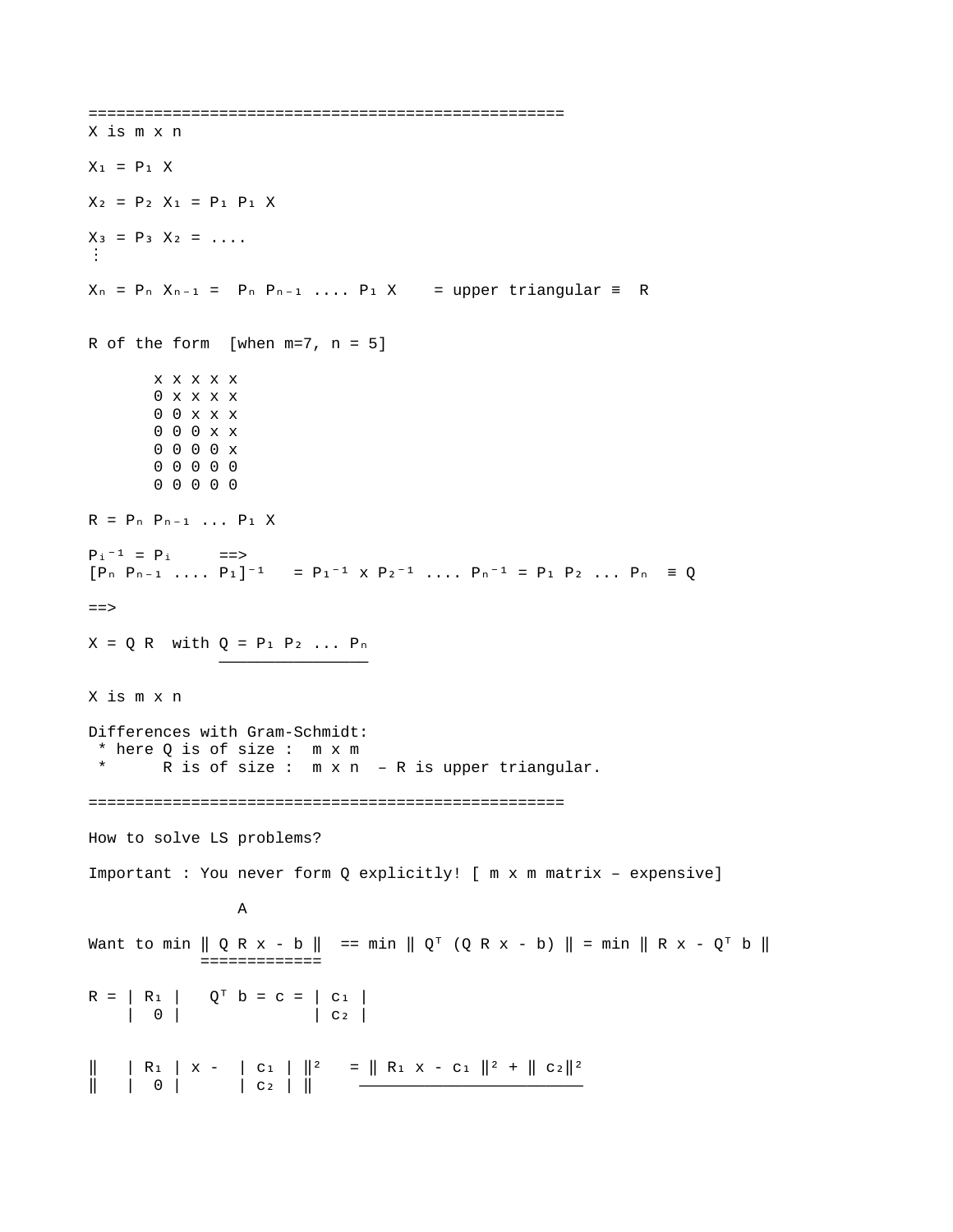```
===================================================
X is m x n
X_1 = P_1 XX_2 = P_2 X_1 = P_1 P_1 XX_3 = P_3 X_2 = ...⋮
X_n = P_n, X_{n-1} = P_n, P_{n-1}, ..., P_1, X = upper triangular = R
R of the form [when m=7, n = 5]
         x x x x x
         0 x x x x
         0 0 x x x
         0 0 0 x x
         0 0 0 0 x
         0 0 0 0 0
         0 0 0 0 0 
R = P_n P_{n-1} \ldots P_1 XP_i - 1 = P_i ==>
[P_n P_{n-1} \ldots P_1]^{-1} = P_1^{-1} \times P_2^{-1} \ldots P_n^{-1} = P_1 P_2 \ldots P_n = Q==> 
X = Q R with Q = P_1 P_2 ... P_n\mathcal{L}=\{x_1,\ldots,x_n\} , where \mathcal{L}=\{x_1,\ldots,x_n\} , we have the set of \mathcal{L}=\{x_1,\ldots,x_n\}X is m x n
Differences with Gram-Schmidt:
  * here Q is of size : m x m
          R is of size : m \times n - R is upper triangular.
===================================================
How to solve LS problems?
Important : You never form Q explicitly! [ m x m matrix – expensive]
 A
Want to min \parallel Q R x - b \parallel == min \parallel Q<sup>T</sup> (Q R x - b) \parallel = min \parallel R x - Q<sup>T</sup> b \parallel ============= 
R = | R_1 | Q^T b = c = | c_1 | | 0 | | c | ₂
‖ ₁ ₁ ‖ ‖ ₁ ₁ ‖ ‖ ₂‖ | R | x - | c | ² = R x - c ² + c ² 
    ‖ ₂ ‖ | 0 | | c | ————————————————————————
```